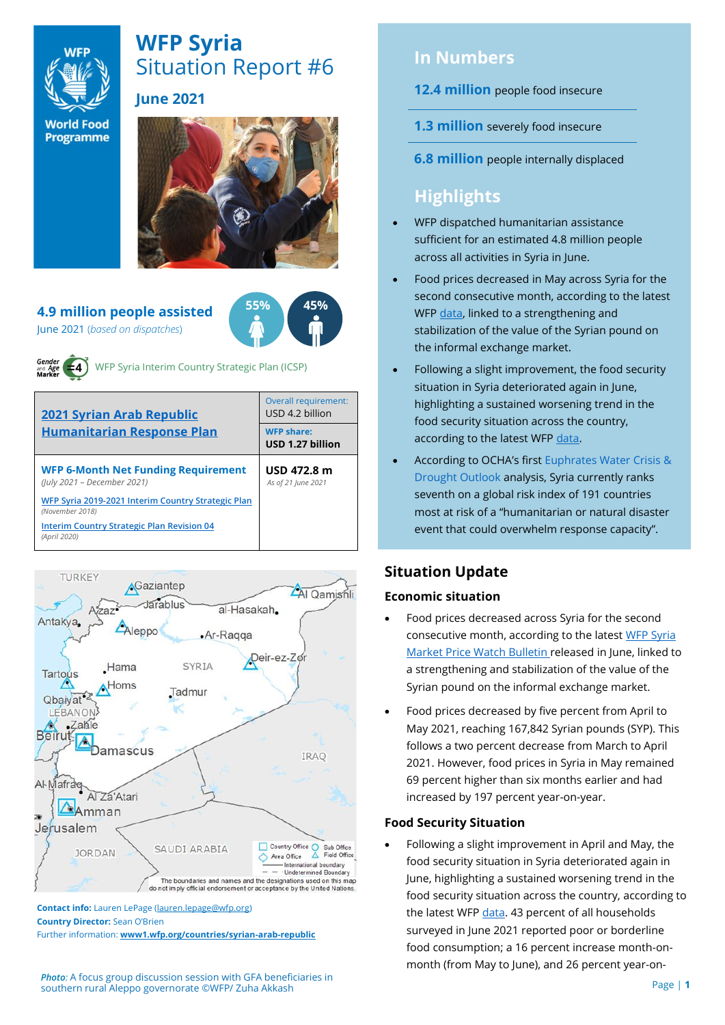

# **WFP Syria** Situation Report #6 **June 2021**

**World Food** Programme



#### **4.9 million people assisted** June 2021 (*based on dispatches*)





WFP Syria Interim Country Strategic Plan (ICSP)

| <b>2021 Syrian Arab Republic</b><br><b>Humanitarian Response Plan</b>     | Overall requirement:<br>USD 4.2 billion |  |  |
|---------------------------------------------------------------------------|-----------------------------------------|--|--|
|                                                                           | <b>WFP share:</b><br>USD 1.27 billion   |  |  |
| <b>WFP 6-Month Net Funding Requirement</b><br>(July 2021 - December 2021) | USD 472.8 m<br>As of 21 June 2021       |  |  |
| WFP Syria 2019-2021 Interim Country Strategic Plan<br>(November 2018)     |                                         |  |  |
| <b>Interim Country Strategic Plan Revision 04</b><br>(April 2020)         |                                         |  |  |



**Contact info:** Lauren LePage [\(lauren.lepage@wfp.org\)](mailto:lauren.lepage@wfp.org) **Country Director:** Sean O'Brien Further information: **[www1.wfp.org/countries/syrian-arab-republic](file:///C:/Users/lauren.lepage/AppData/Local/Microsoft/Windows/INetCache/Content.Outlook/HTRVWXQN/www1.wfp.org/countries/syrian-arab-republic)**

*Photo:* A focus group discussion session with GFA beneficiaries in southern rural Aleppo governorate ©WFP/ Zuha Akkash

## **In Numbers**

- **12.4 million** people food insecure
- **1.3 million** severely food insecure
- **6.8 million** people internally displaced

# **Highlights**

- WFP dispatched humanitarian assistance sufficient for an estimated 4.8 million people across all activities in Syria in June.
- Food prices decreased in May across Syria for the second consecutive month, according to the latest WFP [data,](https://reliefweb.int/report/syrian-arab-republic/syria-country-office-market-price-watch-bulletin-issue-78-may-2021) linked to a strengthening and stabilization of the value of the Syrian pound on the informal exchange market.
- Following a slight improvement, the food security situation in Syria deteriorated again in June, highlighting a sustained worsening trend in the food security situation across the country, according to the latest WFP [data.](https://docs.wfp.org/api/documents/WFP-0000130142/download/)
- According to OCHA's first [Euphrates Water Crisis &](https://reliefweb.int/report/syrian-arab-republic/syrian-arab-republic-euphrates-water-crisis-drought-outlook-17-june-2021)  [Drought Outlook](https://reliefweb.int/report/syrian-arab-republic/syrian-arab-republic-euphrates-water-crisis-drought-outlook-17-june-2021) analysis, Syria currently ranks seventh on a global risk index of 191 countries most at risk of a "humanitarian or natural disaster event that could overwhelm response capacity".

## **Situation Update**

## **Economic situation**

- Food prices decreased across Syria for the second consecutive month, according to the latest [WFP Syria](https://reliefweb.int/report/syrian-arab-republic/syria-country-office-market-price-watch-bulletin-issue-78-may-2021)  [Market Price Watch Bulletin r](https://reliefweb.int/report/syrian-arab-republic/syria-country-office-market-price-watch-bulletin-issue-78-may-2021)eleased in June, linked to a strengthening and stabilization of the value of the Syrian pound on the informal exchange market.
- Food prices decreased by five percent from April to May 2021, reaching 167,842 Syrian pounds (SYP). This follows a two percent decrease from March to April 2021. However, food prices in Syria in May remained 69 percent higher than six months earlier and had increased by 197 percent year-on-year.

## **Food Security Situation**

• Following a slight improvement in April and May, the food security situation in Syria deteriorated again in June, highlighting a sustained worsening trend in the food security situation across the country, according to the latest WFP [data.](https://docs.wfp.org/api/documents/WFP-0000130142/download/) 43 percent of all households surveyed in June 2021 reported poor or borderline food consumption; a 16 percent increase month-onmonth (from May to June), and 26 percent year-on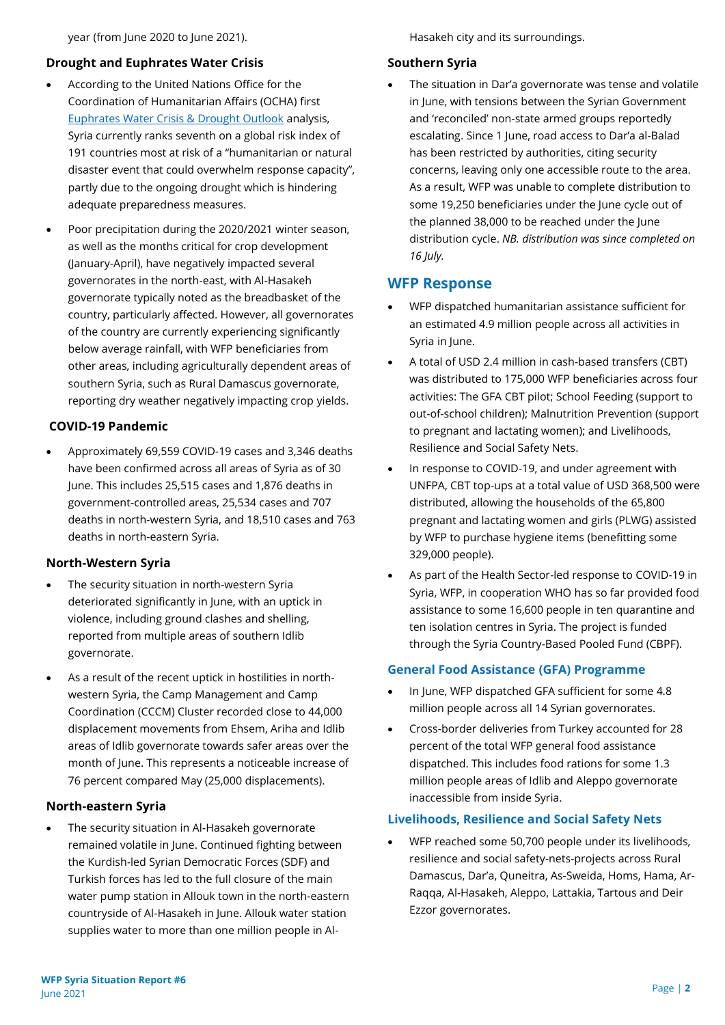year (from June 2020 to June 2021).

## **Drought and Euphrates Water Crisis**

- According to the United Nations Office for the Coordination of Humanitarian Affairs (OCHA) first [Euphrates Water Crisis & Drought Outlook](https://reliefweb.int/report/syrian-arab-republic/syrian-arab-republic-euphrates-water-crisis-drought-outlook-17-june-2021) analysis, Syria currently ranks seventh on a global risk index of 191 countries most at risk of a "humanitarian or natural disaster event that could overwhelm response capacity", partly due to the ongoing drought which is hindering adequate preparedness measures.
- Poor precipitation during the 2020/2021 winter season, as well as the months critical for crop development (January-April), have negatively impacted several governorates in the north-east, with Al-Hasakeh governorate typically noted as the breadbasket of the country, particularly affected. However, all governorates of the country are currently experiencing significantly below average rainfall, with WFP beneficiaries from other areas, including agriculturally dependent areas of southern Syria, such as Rural Damascus governorate, reporting dry weather negatively impacting crop yields.

### **COVID-19 Pandemic**

• Approximately 69,559 COVID-19 cases and 3,346 deaths have been confirmed across all areas of Syria as of 30 June. This includes 25,515 cases and 1,876 deaths in government-controlled areas, 25,534 cases and 707 deaths in north-western Syria, and 18,510 cases and 763 deaths in north-eastern Syria.

#### **North-Western Syria**

- The security situation in north-western Syria deteriorated significantly in June, with an uptick in violence, including ground clashes and shelling, reported from multiple areas of southern Idlib governorate.
- As a result of the recent uptick in hostilities in northwestern Syria, the Camp Management and Camp Coordination (CCCM) Cluster recorded close to 44,000 displacement movements from Ehsem, Ariha and Idlib areas of Idlib governorate towards safer areas over the month of June. This represents a noticeable increase of 76 percent compared May (25,000 displacements).

## **North-eastern Syria**

The security situation in Al-Hasakeh governorate remained volatile in June. Continued fighting between the Kurdish-led Syrian Democratic Forces (SDF) and Turkish forces has led to the full closure of the main water pump station in Allouk town in the north-eastern countryside of Al-Hasakeh in June. Allouk water station supplies water to more than one million people in AlHasakeh city and its surroundings.

### **Southern Syria**

The situation in Dar'a governorate was tense and volatile in June, with tensions between the Syrian Government and 'reconciled' non-state armed groups reportedly escalating. Since 1 June, road access to Dar'a al-Balad has been restricted by authorities, citing security concerns, leaving only one accessible route to the area. As a result, WFP was unable to complete distribution to some 19,250 beneficiaries under the June cycle out of the planned 38,000 to be reached under the June distribution cycle. *NB. distribution was since completed on 16 July.*

## **WFP Response**

- WFP dispatched humanitarian assistance sufficient for an estimated 4.9 million people across all activities in Syria in June.
- A total of USD 2.4 million in cash-based transfers (CBT) was distributed to 175,000 WFP beneficiaries across four activities: The GFA CBT pilot; School Feeding (support to out-of-school children); Malnutrition Prevention (support to pregnant and lactating women); and Livelihoods, Resilience and Social Safety Nets.
- In response to COVID-19, and under agreement with UNFPA, CBT top-ups at a total value of USD 368,500 were distributed, allowing the households of the 65,800 pregnant and lactating women and girls (PLWG) assisted by WFP to purchase hygiene items (benefitting some 329,000 people).
- As part of the Health Sector-led response to COVID-19 in Syria, WFP, in cooperation WHO has so far provided food assistance to some 16,600 people in ten quarantine and ten isolation centres in Syria. The project is funded through the Syria Country-Based Pooled Fund (CBPF).

## **General Food Assistance (GFA) Programme**

- In June, WFP dispatched GFA sufficient for some 4.8 million people across all 14 Syrian governorates.
- Cross-border deliveries from Turkey accounted for 28 percent of the total WFP general food assistance dispatched. This includes food rations for some 1.3 million people areas of Idlib and Aleppo governorate inaccessible from inside Syria.

#### **Livelihoods, Resilience and Social Safety Nets**

• WFP reached some 50,700 people under its livelihoods, resilience and social safety-nets-projects across Rural Damascus, Dar'a, Quneitra, As-Sweida, Homs, Hama, Ar-Raqqa, Al-Hasakeh, Aleppo, Lattakia, Tartous and Deir Ezzor governorates.